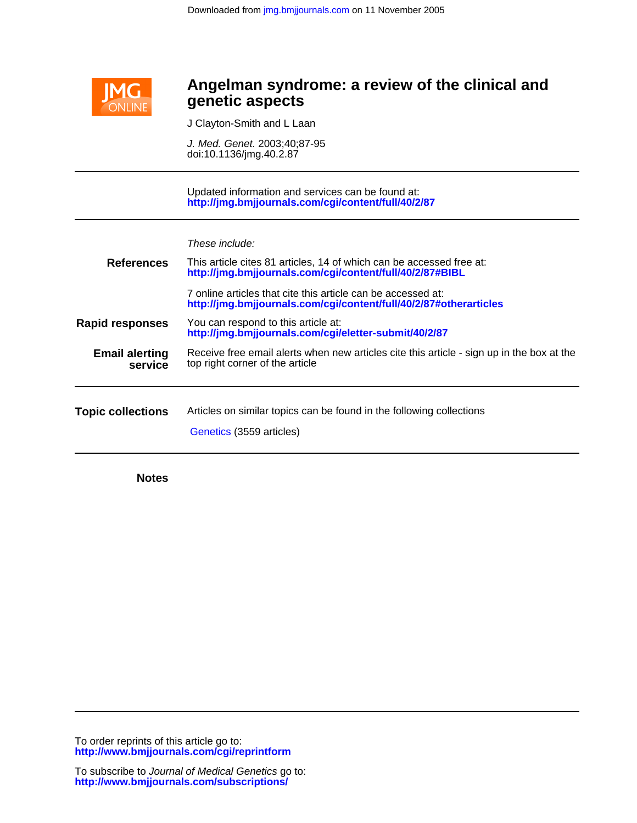

# Ĭ **genetic aspects Angelman syndrome: a review of the clinical and**

J Clayton-Smith and L Laan

doi:10.1136/jmg.40.2.87 J. Med. Genet. 2003;40;87-95

**<http://jmg.bmjjournals.com/cgi/content/full/40/2/87>** Updated information and services can be found at:

These include:

| <b>References</b>                | This article cites 81 articles, 14 of which can be accessed free at:<br>http://jmg.bmjjournals.com/cgi/content/full/40/2/87#BIBL  |  |
|----------------------------------|-----------------------------------------------------------------------------------------------------------------------------------|--|
|                                  | 7 online articles that cite this article can be accessed at:<br>http://jmg.bmjjournals.com/cgi/content/full/40/2/87#otherarticles |  |
| <b>Rapid responses</b>           | You can respond to this article at:<br>http://jmg.bmjjournals.com/cgi/eletter-submit/40/2/87                                      |  |
| <b>Email alerting</b><br>service | Receive free email alerts when new articles cite this article - sign up in the box at the<br>top right corner of the article      |  |
| <b>Topic collections</b>         | Articles on similar topics can be found in the following collections<br>Genetics (3559 articles)                                  |  |

**Notes**

**<http://www.bmjjournals.com/cgi/reprintform>** To order reprints of this article go to: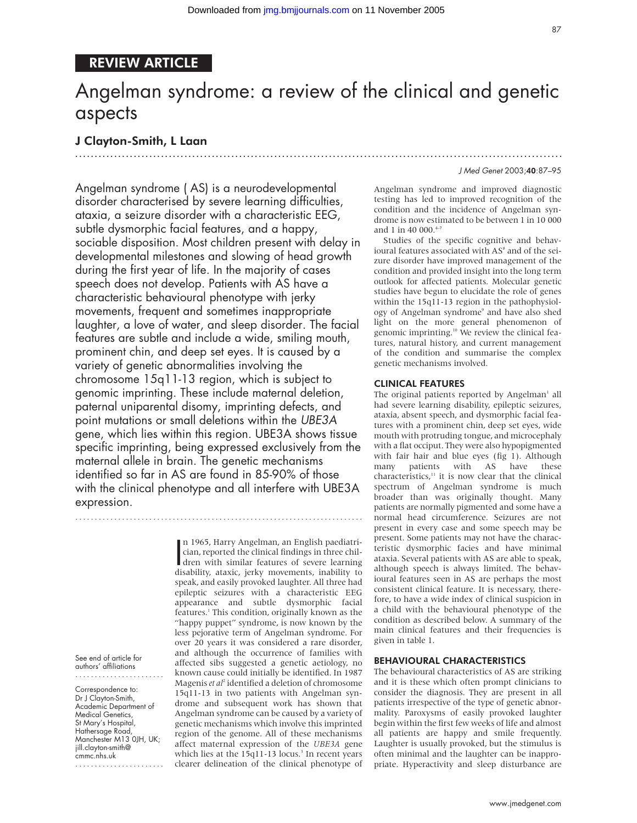# REVIEW ARTICLE

# Angelman syndrome: a review of the clinical and genetic aspects

.............................................................................................................................

# J Clayton-Smith, L Laan

Angelman syndrome ( AS) is a neurodevelopmental disorder characterised by severe learning difficulties, ataxia, a seizure disorder with a characteristic EEG, subtle dysmorphic facial features, and a happy, sociable disposition. Most children present with delay in developmental milestones and slowing of head growth during the first year of life. In the majority of cases speech does not develop. Patients with AS have a characteristic behavioural phenotype with jerky movements, frequent and sometimes inappropriate laughter, a love of water, and sleep disorder. The facial features are subtle and include a wide, smiling mouth, prominent chin, and deep set eyes. It is caused by a variety of genetic abnormalities involving the chromosome 15q11-13 region, which is subject to genomic imprinting. These include maternal deletion, paternal uniparental disomy, imprinting defects, and point mutations or small deletions within the UBE3A gene, which lies within this region. UBE3A shows tissue specific imprinting, being expressed exclusively from the maternal allele in brain. The genetic mechanisms identified so far in AS are found in 85-90% of those with the clinical phenotype and all interfere with UBE3A expression.

..........................................................................

n 1965, Harry Angelman, an English paediatrician, reported the clinical findings in three children with similar features of severe learning<br>disability ataxic jerky movements inability to n 1965, Harry Angelman, an English paediatrician, reported the clinical findings in three childisability, ataxic, jerky movements, inability to speak, and easily provoked laughter. All three had epileptic seizures with a characteristic EEG appearance and subtle dysmorphic facial features.1 This condition, originally known as the "happy puppet" syndrome, is now known by the less pejorative term of Angelman syndrome. For over 20 years it was considered a rare disorder, and although the occurrence of families with affected sibs suggested a genetic aetiology, no known cause could initially be identified. In 1987 Magenis *et al*<sup>2</sup> identified a deletion of chromosome 15q11-13 in two patients with Angelman syndrome and subsequent work has shown that Angelman syndrome can be caused by a variety of genetic mechanisms which involve this imprinted region of the genome. All of these mechanisms affect maternal expression of the *UBE3A* gene which lies at the 15q11-13 locus.<sup>3</sup> In recent years clearer delineation of the clinical phenotype of

#### J Med Genet 2003;40:87–95

Angelman syndrome and improved diagnostic testing has led to improved recognition of the condition and the incidence of Angelman syndrome is now estimated to be between 1 in 10 000 and 1 in 40 000.<sup>4-7</sup>

Studies of the specific cognitive and behavioural features associated with AS<sup>8</sup> and of the seizure disorder have improved management of the condition and provided insight into the long term outlook for affected patients. Molecular genetic studies have begun to elucidate the role of genes within the 15q11-13 region in the pathophysiology of Angelman syndrome<sup>9</sup> and have also shed light on the more general phenomenon of genomic imprinting.10 We review the clinical features, natural history, and current management of the condition and summarise the complex genetic mechanisms involved.

#### CLINICAL FEATURES

The original patients reported by Angelman<sup>1</sup> all had severe learning disability, epileptic seizures, ataxia, absent speech, and dysmorphic facial features with a prominent chin, deep set eyes, wide mouth with protruding tongue, and microcephaly with a flat occiput. They were also hypopigmented with fair hair and blue eyes (fig 1). Although many patients with AS have these characteristics, $11$  it is now clear that the clinical spectrum of Angelman syndrome is much broader than was originally thought. Many patients are normally pigmented and some have a normal head circumference. Seizures are not present in every case and some speech may be present. Some patients may not have the characteristic dysmorphic facies and have minimal ataxia. Several patients with AS are able to speak, although speech is always limited. The behavioural features seen in AS are perhaps the most consistent clinical feature. It is necessary, therefore, to have a wide index of clinical suspicion in a child with the behavioural phenotype of the condition as described below. A summary of the main clinical features and their frequencies is given in table 1.

#### BEHAVIOURAL CHARACTERISTICS

The behavioural characteristics of AS are striking and it is these which often prompt clinicians to consider the diagnosis. They are present in all patients irrespective of the type of genetic abnormality. Paroxysms of easily provoked laughter begin within the first few weeks of life and almost all patients are happy and smile frequently. Laughter is usually provoked, but the stimulus is often minimal and the laughter can be inappropriate. Hyperactivity and sleep disturbance are

See end of article for authors' affiliations .......................

Correspondence to: Dr J Clayton-Smith, Academic Department of Medical Genetics, St Mary's Hospital, Hathersage Road, Manchester M13 0JH, UK; jill.clayton-smith@ cmmc.nhs.uk

.......................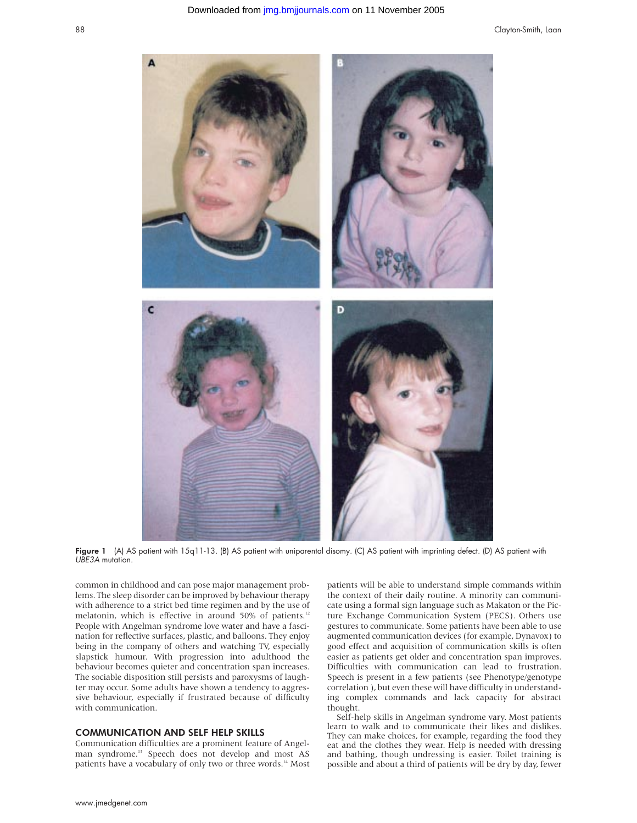

Figure 1 (A) AS patient with 15q11-13. (B) AS patient with uniparental disomy. (C) AS patient with imprinting defect. (D) AS patient with UBE3A mutation.

common in childhood and can pose major management problems. The sleep disorder can be improved by behaviour therapy with adherence to a strict bed time regimen and by the use of melatonin, which is effective in around 50% of patients.<sup>12</sup> People with Angelman syndrome love water and have a fascination for reflective surfaces, plastic, and balloons. They enjoy being in the company of others and watching TV, especially slapstick humour. With progression into adulthood the behaviour becomes quieter and concentration span increases. The sociable disposition still persists and paroxysms of laughter may occur. Some adults have shown a tendency to aggressive behaviour, especially if frustrated because of difficulty with communication.

#### COMMUNICATION AND SELF HELP SKILLS

Communication difficulties are a prominent feature of Angelman syndrome.<sup>13</sup> Speech does not develop and most AS patients have a vocabulary of only two or three words.<sup>14</sup> Most patients will be able to understand simple commands within the context of their daily routine. A minority can communicate using a formal sign language such as Makaton or the Picture Exchange Communication System (PECS). Others use gestures to communicate. Some patients have been able to use augmented communication devices (for example, Dynavox) to good effect and acquisition of communication skills is often easier as patients get older and concentration span improves. Difficulties with communication can lead to frustration. Speech is present in a few patients (see Phenotype/genotype correlation ), but even these will have difficulty in understanding complex commands and lack capacity for abstract thought.

Self-help skills in Angelman syndrome vary. Most patients learn to walk and to communicate their likes and dislikes. They can make choices, for example, regarding the food they eat and the clothes they wear. Help is needed with dressing and bathing, though undressing is easier. Toilet training is possible and about a third of patients will be dry by day, fewer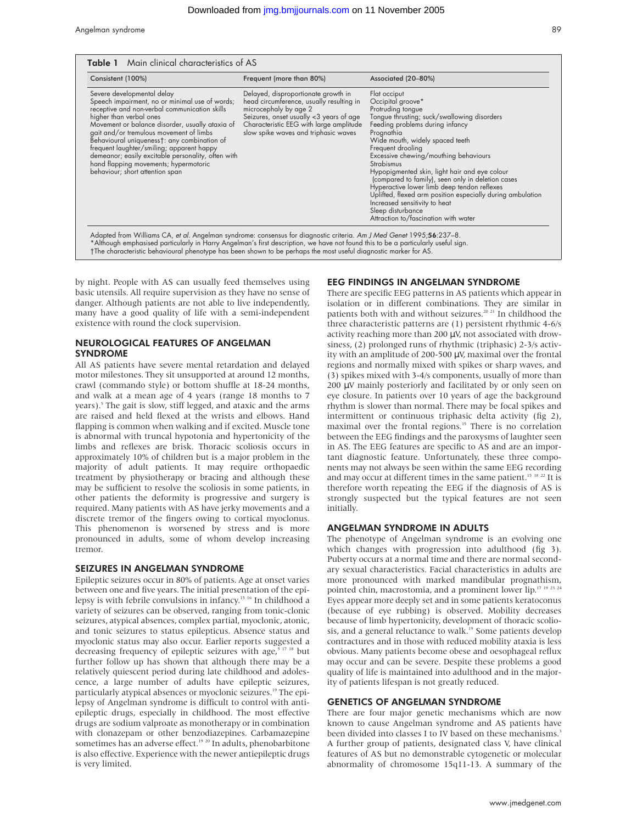Angelman syndrome 89

| Consistent (100%)                                                                                                                                                                                                                                                                                                                                                                                                                                                                    | Frequent (more than 80%)                                                                                                                                                                                                               | Associated (20-80%)                                                                                                                                                                                                                                                                                                                                                                                                                                                                                                                                                                           |
|--------------------------------------------------------------------------------------------------------------------------------------------------------------------------------------------------------------------------------------------------------------------------------------------------------------------------------------------------------------------------------------------------------------------------------------------------------------------------------------|----------------------------------------------------------------------------------------------------------------------------------------------------------------------------------------------------------------------------------------|-----------------------------------------------------------------------------------------------------------------------------------------------------------------------------------------------------------------------------------------------------------------------------------------------------------------------------------------------------------------------------------------------------------------------------------------------------------------------------------------------------------------------------------------------------------------------------------------------|
| Severe developmental delay<br>Speech impairment, no or minimal use of words;<br>receptive and non-verbal communication skills<br>higher than verbal ones<br>Movement or balance disorder, usually ataxia of<br>gait and/or tremulous movement of limbs<br>Behavioural uniqueness†: any combination of<br>frequent laughter/smiling; apparent happy<br>demeanor; easily excitable personality, often with<br>hand flapping movements; hypermotoric<br>behaviour; short attention span | Delayed, disproportionate growth in<br>head circumference, usually resulting in<br>microcephaly by age 2<br>Seizures, onset usually <3 years of age<br>Characteristic EEG with large amplitude<br>slow spike waves and triphasic waves | Flat occiput<br>Occipital groove*<br>Protruding tongue<br>Tongue thrusting; suck/swallowing disorders<br>Feeding problems during infancy<br>Prognathia<br>Wide mouth, widely spaced teeth<br>Frequent drooling<br>Excessive chewing/mouthing behaviours<br><b>Strabismus</b><br>Hypopigmented skin, light hair and eye colour<br>(compared to family), seen only in deletion cases<br>Hyperactive lower limb deep tendon reflexes<br>Uplifted, flexed arm position especially during ambulation<br>Increased sensitivity to heat<br>Sleep disturbance<br>Attraction to/fascination with water |

†The characteristic behavioural phenotype has been shown to be perhaps the most useful diagnostic marker for AS.

by night. People with AS can usually feed themselves using basic utensils. All require supervision as they have no sense of danger. Although patients are not able to live independently, many have a good quality of life with a semi-independent existence with round the clock supervision.

# NEUROLOGICAL FEATURES OF ANGELMAN SYNDROME

All AS patients have severe mental retardation and delayed motor milestones. They sit unsupported at around 12 months, crawl (commando style) or bottom shuffle at 18-24 months, and walk at a mean age of 4 years (range 18 months to 7 years).<sup>5</sup> The gait is slow, stiff legged, and ataxic and the arms are raised and held flexed at the wrists and elbows. Hand flapping is common when walking and if excited. Muscle tone is abnormal with truncal hypotonia and hypertonicity of the limbs and reflexes are brisk. Thoracic scoliosis occurs in approximately 10% of children but is a major problem in the majority of adult patients. It may require orthopaedic treatment by physiotherapy or bracing and although these may be sufficient to resolve the scoliosis in some patients, in other patients the deformity is progressive and surgery is required. Many patients with AS have jerky movements and a discrete tremor of the fingers owing to cortical myoclonus. This phenomenon is worsened by stress and is more pronounced in adults, some of whom develop increasing tremor.

#### SEIZURES IN ANGELMAN SYNDROME

Epileptic seizures occur in 80% of patients. Age at onset varies between one and five years. The initial presentation of the epilepsy is with febrile convulsions in infancy.<sup>15 16</sup> In childhood a variety of seizures can be observed, ranging from tonic-clonic seizures, atypical absences, complex partial, myoclonic, atonic, and tonic seizures to status epilepticus. Absence status and myoclonic status may also occur. Earlier reports suggested a decreasing frequency of epileptic seizures with age,<sup>5 17 18</sup> but further follow up has shown that although there may be a relatively quiescent period during late childhood and adolescence, a large number of adults have epileptic seizures, particularly atypical absences or myoclonic seizures.<sup>19</sup> The epilepsy of Angelman syndrome is difficult to control with antiepileptic drugs, especially in childhood. The most effective drugs are sodium valproate as monotherapy or in combination with clonazepam or other benzodiazepines. Carbamazepine sometimes has an adverse effect.<sup>19 20</sup> In adults, phenobarbitone is also effective. Experience with the newer antiepileptic drugs is very limited.

## EEG FINDINGS IN ANGELMAN SYNDROME

There are specific EEG patterns in AS patients which appear in isolation or in different combinations. They are similar in patients both with and without seizures.<sup>20 21</sup> In childhood the three characteristic patterns are (1) persistent rhythmic 4-6/s activity reaching more than 200 µV, not associated with drowsiness, (2) prolonged runs of rhythmic (triphasic) 2-3/s activity with an amplitude of 200-500 µV, maximal over the frontal regions and normally mixed with spikes or sharp waves, and (3) spikes mixed with 3-4/s components, usually of more than 200 µV mainly posteriorly and facilitated by or only seen on eye closure. In patients over 10 years of age the background rhythm is slower than normal. There may be focal spikes and intermittent or continuous triphasic delta activity (fig 2), maximal over the frontal regions.<sup>15</sup> There is no correlation between the EEG findings and the paroxysms of laughter seen in AS. The EEG features are specific to AS and are an important diagnostic feature. Unfortunately, these three components may not always be seen within the same EEG recording and may occur at different times in the same patient.<sup>15 18</sup> <sup>22</sup> It is therefore worth repeating the EEG if the diagnosis of AS is strongly suspected but the typical features are not seen initially.

## ANGELMAN SYNDROME IN ADULTS

The phenotype of Angelman syndrome is an evolving one which changes with progression into adulthood (fig 3). Puberty occurs at a normal time and there are normal secondary sexual characteristics. Facial characteristics in adults are more pronounced with marked mandibular prognathism, pointed chin, macrostomia, and a prominent lower lip.<sup>17 19 23</sup> Eyes appear more deeply set and in some patients keratoconus (because of eye rubbing) is observed. Mobility decreases because of limb hypertonicity, development of thoracic scoliosis, and a general reluctance to walk.<sup>19</sup> Some patients develop contractures and in those with reduced mobility ataxia is less obvious. Many patients become obese and oesophageal reflux may occur and can be severe. Despite these problems a good quality of life is maintained into adulthood and in the majority of patients lifespan is not greatly reduced.

## GENETICS OF ANGELMAN SYNDROME

There are four major genetic mechanisms which are now known to cause Angelman syndrome and AS patients have been divided into classes I to IV based on these mechanisms.<sup>3</sup> A further group of patients, designated class V, have clinical features of AS but no demonstrable cytogenetic or molecular abnormality of chromosome 15q11-13. A summary of the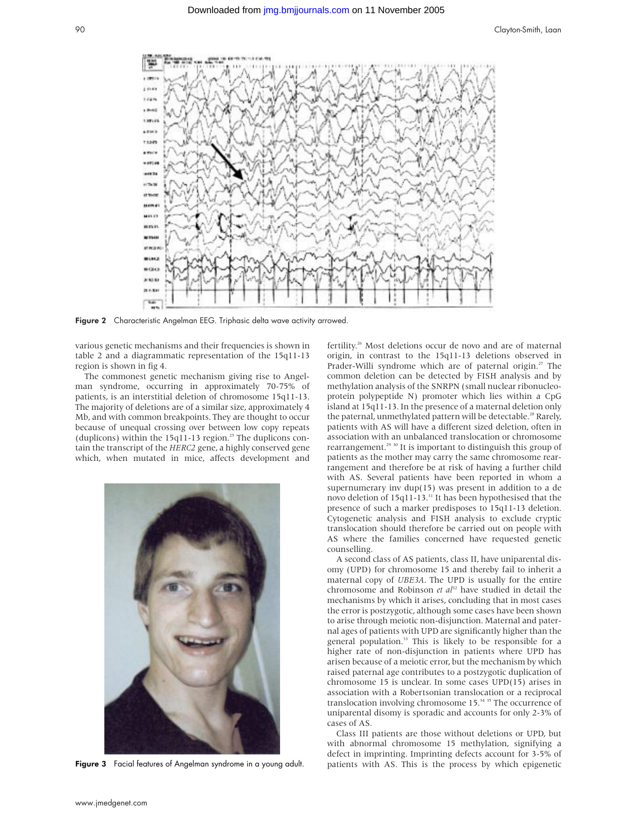

Figure 2 Characteristic Angelman EEG. Triphasic delta wave activity arrowed

various genetic mechanisms and their frequencies is shown in table 2 and a diagrammatic representation of the 15q11-13 region is shown in fig 4.

The commonest genetic mechanism giving rise to Angelman syndrome, occurring in approximately 70-75% of patients, is an interstitial deletion of chromosome 15q11-13. The majority of deletions are of a similar size, approximately 4 Mb, and with common breakpoints. They are thought to occur because of unequal crossing over between low copy repeats (duplicons) within the  $15q11-13$  region.<sup>25</sup> The duplicons contain the transcript of the *HERC2* gene, a highly conserved gene which, when mutated in mice, affects development and



Figure 3 Facial features of Angelman syndrome in a young adult.

fertility.26 Most deletions occur de novo and are of maternal origin, in contrast to the 15q11-13 deletions observed in Prader-Willi syndrome which are of paternal origin.<sup>27</sup> The common deletion can be detected by FISH analysis and by methylation analysis of the SNRPN (small nuclear ribonucleoprotein polypeptide N) promoter which lies within a CpG island at 15q11-13. In the presence of a maternal deletion only the paternal, unmethylated pattern will be detectable.<sup>28</sup> Rarely, patients with AS will have a different sized deletion, often in association with an unbalanced translocation or chromosome rearrangement.<sup>29 30</sup> It is important to distinguish this group of patients as the mother may carry the same chromosome rearrangement and therefore be at risk of having a further child with AS. Several patients have been reported in whom a supernumerary inv dup(15) was present in addition to a de novo deletion of 15q11-13.31 It has been hypothesised that the presence of such a marker predisposes to 15q11-13 deletion. Cytogenetic analysis and FISH analysis to exclude cryptic translocation should therefore be carried out on people with AS where the families concerned have requested genetic counselling.

A second class of AS patients, class II, have uniparental disomy (UPD) for chromosome 15 and thereby fail to inherit a maternal copy of *UBE3A*. The UPD is usually for the entire chromosome and Robinson *et al*<sup>32</sup> have studied in detail the mechanisms by which it arises, concluding that in most cases the error is postzygotic, although some cases have been shown to arise through meiotic non-disjunction. Maternal and paternal ages of patients with UPD are significantly higher than the general population.<sup>33</sup> This is likely to be responsible for a higher rate of non-disjunction in patients where UPD has arisen because of a meiotic error, but the mechanism by which raised paternal age contributes to a postzygotic duplication of chromosome 15 is unclear. In some cases UPD(15) arises in association with a Robertsonian translocation or a reciprocal translocation involving chromosome  $15.^{34}$ <sup>35</sup> The occurrence of uniparental disomy is sporadic and accounts for only 2-3% of cases of AS.

Class III patients are those without deletions or UPD, but with abnormal chromosome 15 methylation, signifying a defect in imprinting. Imprinting defects account for 3-5% of patients with AS. This is the process by which epigenetic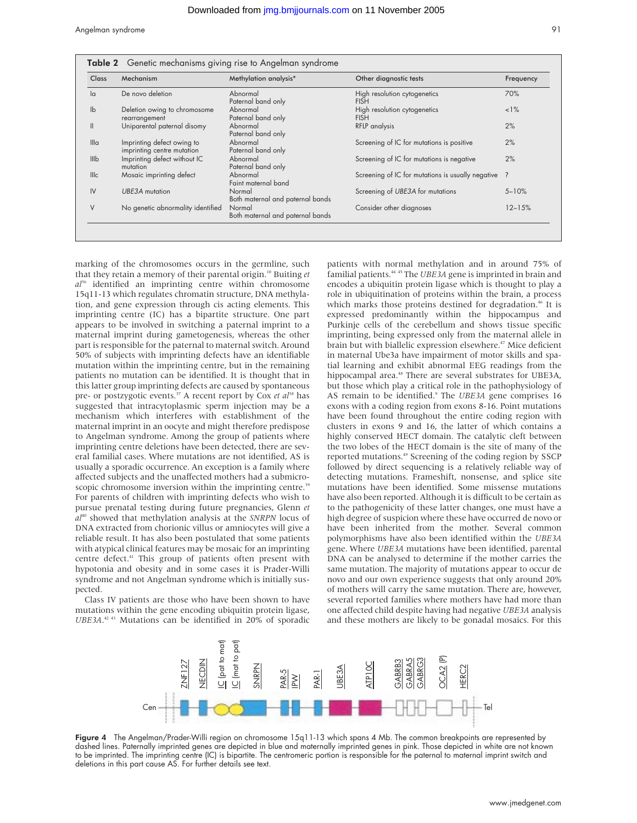Angelman syndrome 91

| Class            | Mechanism                                                | Methylation analysis*                      | Other diagnostic tests                            | Frequency  |
|------------------|----------------------------------------------------------|--------------------------------------------|---------------------------------------------------|------------|
| la               | De novo deletion                                         | Abnormal<br>Paternal band only             | High resolution cytogenetics<br><b>FISH</b>       | 70%        |
| $\mathsf{lb}$    | Deletion owing to chromosome<br>rearrangement            | Abnormal<br>Paternal band only             | High resolution cytogenetics<br><b>FISH</b>       | $1\%$      |
| $\mathbf{I}$     | Uniparental paternal disomy                              | Abnormal<br>Paternal band only             | <b>RFLP</b> analysis                              | 2%         |
| III <sub>a</sub> | Imprinting defect owing to<br>imprinting centre mutation | Abnormal<br>Paternal band only             | Screening of IC for mutations is positive         | 2%         |
| III <sub>b</sub> | Imprinting defect without IC<br>mutation                 | Abnormal<br>Paternal band only             | Screening of IC for mutations is negative         | 2%         |
| <b>Illc</b>      | Mosaic imprinting defect                                 | Abnormal<br>Faint maternal band            | Screening of IC for mutations is usually negative | ?          |
| IV               | UBE3A mutation                                           | Normal<br>Both maternal and paternal bands | Screening of UBE3A for mutations                  | $5 - 10%$  |
| V                | No genetic abnormality identified                        | Normal<br>Both maternal and paternal bands | Consider other diagnoses                          | $12 - 15%$ |

marking of the chromosomes occurs in the germline, such that they retain a memory of their parental origin.10 Buiting *et al*<sup>36</sup> identified an imprinting centre within chromosome 15q11-13 which regulates chromatin structure, DNA methylation, and gene expression through cis acting elements. This imprinting centre (IC) has a bipartite structure. One part appears to be involved in switching a paternal imprint to a maternal imprint during gametogenesis, whereas the other part is responsible for the paternal to maternal switch. Around 50% of subjects with imprinting defects have an identifiable mutation within the imprinting centre, but in the remaining patients no mutation can be identified. It is thought that in this latter group imprinting defects are caused by spontaneous pre- or postzygotic events.<sup>37</sup> A recent report by Cox *et al*<sup>38</sup> has suggested that intracytoplasmic sperm injection may be a mechanism which interferes with establishment of the maternal imprint in an oocyte and might therefore predispose to Angelman syndrome. Among the group of patients where imprinting centre deletions have been detected, there are several familial cases. Where mutations are not identified, AS is usually a sporadic occurrence. An exception is a family where affected subjects and the unaffected mothers had a submicroscopic chromosome inversion within the imprinting centre.<sup>39</sup> For parents of children with imprinting defects who wish to pursue prenatal testing during future pregnancies, Glenn *et al*<sup>40</sup> showed that methylation analysis at the *SNRPN* locus of DNA extracted from chorionic villus or amniocytes will give a reliable result. It has also been postulated that some patients with atypical clinical features may be mosaic for an imprinting centre defect.<sup>41</sup> This group of patients often present with hypotonia and obesity and in some cases it is Prader-Willi syndrome and not Angelman syndrome which is initially suspected.

Class IV patients are those who have been shown to have mutations within the gene encoding ubiquitin protein ligase, *UBE3A*. 42 43 Mutations can be identified in 20% of sporadic

patients with normal methylation and in around 75% of familial patients.44 45 The *UBE3A* gene is imprinted in brain and encodes a ubiquitin protein ligase which is thought to play a role in ubiquitination of proteins within the brain, a process which marks those proteins destined for degradation.<sup>46</sup> It is expressed predominantly within the hippocampus and Purkinje cells of the cerebellum and shows tissue specific imprinting, being expressed only from the maternal allele in brain but with biallelic expression elsewhere.<sup>47</sup> Mice deficient in maternal Ube3a have impairment of motor skills and spatial learning and exhibit abnormal EEG readings from the hippocampal area.<sup>48</sup> There are several substrates for UBE3A, but those which play a critical role in the pathophysiology of AS remain to be identified.9 The *UBE3A* gene comprises 16 exons with a coding region from exons 8-16. Point mutations have been found throughout the entire coding region with clusters in exons 9 and 16, the latter of which contains a highly conserved HECT domain. The catalytic cleft between the two lobes of the HECT domain is the site of many of the reported mutations.<sup>49</sup> Screening of the coding region by SSCP followed by direct sequencing is a relatively reliable way of detecting mutations. Frameshift, nonsense, and splice site mutations have been identified. Some missense mutations have also been reported. Although it is difficult to be certain as to the pathogenicity of these latter changes, one must have a high degree of suspicion where these have occurred de novo or have been inherited from the mother. Several common polymorphisms have also been identified within the *UBE3A* gene. Where *UBE3A* mutations have been identified, parental DNA can be analysed to determine if the mother carries the same mutation. The majority of mutations appear to occur de novo and our own experience suggests that only around 20% of mothers will carry the same mutation. There are, however, several reported families where mothers have had more than one affected child despite having had negative *UBE3A* analysis and these mothers are likely to be gonadal mosaics. For this



Figure 4 The Angelman/Prader-Willi region on chromosome 15q11-13 which spans 4 Mb. The common breakpoints are represented by dashed lines. Paternally imprinted genes are depicted in blue and maternally imprinted genes in pink. Those depicted in white are not known to be imprinted. The imprinting centre (IC) is bipartite. The centromeric portion is responsible for the paternal to maternal imprint switch and deletions in this part cause AS. For further details see text.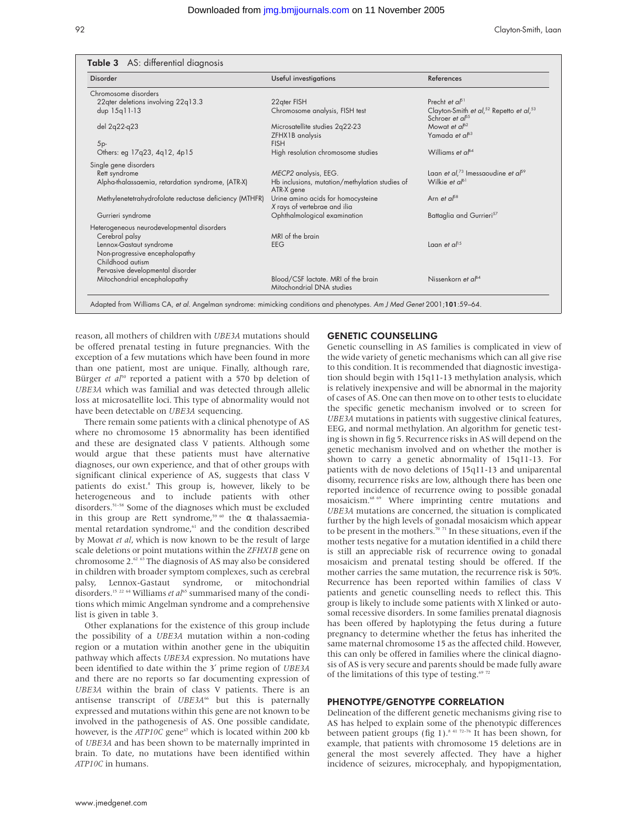| Disorder                                               | Useful investigations                                              | References                                                                             |
|--------------------------------------------------------|--------------------------------------------------------------------|----------------------------------------------------------------------------------------|
| Chromosome disorders                                   |                                                                    |                                                                                        |
| 22qter deletions involving 22q13.3                     | 22qter FISH                                                        | Precht et $a^{51}$                                                                     |
| dup 15q11-13                                           | Chromosome analysis, FISH test                                     | Clayton-Smith et al, <sup>52</sup> Repetto et al, <sup>53</sup><br>Schroer et $a^{55}$ |
| del 2q22-q23                                           | Microsatellite studies 2q22-23                                     | Mowat et $a^{62}$                                                                      |
| $5p-$                                                  | ZFHX1B analysis<br><b>FISH</b>                                     | Yamada et $a^{63}$                                                                     |
| Others: eg 17q23, 4q12, 4p15                           | High resolution chromosome studies                                 | Williams et $a^{64}$                                                                   |
| Single gene disorders                                  |                                                                    |                                                                                        |
| Rett syndrome                                          | MECP2 analysis, EEG.                                               | Laan et al, <sup>73</sup> Imessaoudine et al <sup>59</sup>                             |
| Alpha-thalassaemia, retardation syndrome, (ATR-X)      | Hb inclusions, mutation/methylation studies of<br>ATR-X gene       | Wilkie et $a^{6}$                                                                      |
| Methylenetetrahydrofolate reductase deficiency (MTHFR) | Urine amino acids for homocysteine<br>X rays of vertebrae and ilia | Arn et $a^{58}$                                                                        |
| Gurrieri syndrome                                      | Ophthalmological examination                                       | Battaglia and Gurrieri <sup>57</sup>                                                   |
| Heterogeneous neurodevelopmental disorders             |                                                                    |                                                                                        |
| Cerebral palsy                                         | MRI of the brain                                                   |                                                                                        |
| Lennox-Gastaut syndrome                                | <b>EEG</b>                                                         | Laan et $a^{15}$                                                                       |
| Non-progressive encephalopathy<br>Childhood autism     |                                                                    |                                                                                        |
| Pervasive developmental disorder                       |                                                                    |                                                                                        |
| Mitochondrial encephalopathy                           | Blood/CSF lactate. MRI of the brain<br>Mitochondrial DNA studies   | Nissenkorn et $a^{64}$                                                                 |

reason, all mothers of children with *UBE3A* mutations should be offered prenatal testing in future pregnancies. With the exception of a few mutations which have been found in more than one patient, most are unique. Finally, although rare, Bürger *et al*<sup>50</sup> reported a patient with a 570 bp deletion of *UBE3A* which was familial and was detected through allelic loss at microsatellite loci. This type of abnormality would not have been detectable on *UBE3A* sequencing.

There remain some patients with a clinical phenotype of AS where no chromosome 15 abnormality has been identified and these are designated class V patients. Although some would argue that these patients must have alternative diagnoses, our own experience, and that of other groups with significant clinical experience of AS, suggests that class V patients do exist.<sup>8</sup> This group is, however, likely to be heterogeneous and to include patients with other disorders.<sup>51–58</sup> Some of the diagnoses which must be excluded in this group are Rett syndrome,<sup>59 60</sup> the  $\alpha$  thalassaemiamental retardation syndrome,<sup>61</sup> and the condition described by Mowat *et al*, which is now known to be the result of large scale deletions or point mutations within the *ZFHX1B* gene on chromosome 2.62 63 The diagnosis of AS may also be considered in children with broader symptom complexes, such as cerebral palsy, Lennox-Gastaut syndrome, or mitochondrial disorders.<sup>15 22 64</sup> Williams *et al*<sup>65</sup> summarised many of the conditions which mimic Angelman syndrome and a comprehensive list is given in table 3.

Other explanations for the existence of this group include the possibility of a *UBE3A* mutation within a non-coding region or a mutation within another gene in the ubiquitin pathway which affects *UBE3A* expression. No mutations have been identified to date within the 3′ prime region of *UBE3A* and there are no reports so far documenting expression of *UBE3A* within the brain of class V patients. There is an antisense transcript of *UBE3A<sup>66</sup>* but this is paternally expressed and mutations within this gene are not known to be involved in the pathogenesis of AS. One possible candidate, however, is the *ATP10C* gene<sup>67</sup> which is located within 200 kb of *UBE3A* and has been shown to be maternally imprinted in brain. To date, no mutations have been identified within *ATP10C* in humans.

## GENETIC COUNSELLING

Genetic counselling in AS families is complicated in view of the wide variety of genetic mechanisms which can all give rise to this condition. It is recommended that diagnostic investigation should begin with 15q11-13 methylation analysis, which is relatively inexpensive and will be abnormal in the majority of cases of AS. One can then move on to other tests to elucidate the specific genetic mechanism involved or to screen for *UBE3A* mutations in patients with suggestive clinical features, EEG, and normal methylation. An algorithm for genetic testing is shown in fig 5. Recurrence risks in AS will depend on the genetic mechanism involved and on whether the mother is shown to carry a genetic abnormality of 15q11-13. For patients with de novo deletions of 15q11-13 and uniparental disomy, recurrence risks are low, although there has been one reported incidence of recurrence owing to possible gonadal mosaicism.<sup>68 69</sup> Where imprinting centre mutations and *UBE3A* mutations are concerned, the situation is complicated further by the high levels of gonadal mosaicism which appear to be present in the mothers.<sup>70 71</sup> In these situations, even if the mother tests negative for a mutation identified in a child there is still an appreciable risk of recurrence owing to gonadal mosaicism and prenatal testing should be offered. If the mother carries the same mutation, the recurrence risk is 50%. Recurrence has been reported within families of class V patients and genetic counselling needs to reflect this. This group is likely to include some patients with X linked or autosomal recessive disorders. In some families prenatal diagnosis has been offered by haplotyping the fetus during a future pregnancy to determine whether the fetus has inherited the same maternal chromosome 15 as the affected child. However, this can only be offered in families where the clinical diagnosis of AS is very secure and parents should be made fully aware of the limitations of this type of testing. $6972$ 

## PHENOTYPE/GENOTYPE CORRELATION

Delineation of the different genetic mechanisms giving rise to AS has helped to explain some of the phenotypic differences between patient groups (fig 1).<sup>8 41 72–76</sup> It has been shown, for example, that patients with chromosome 15 deletions are in general the most severely affected. They have a higher incidence of seizures, microcephaly, and hypopigmentation,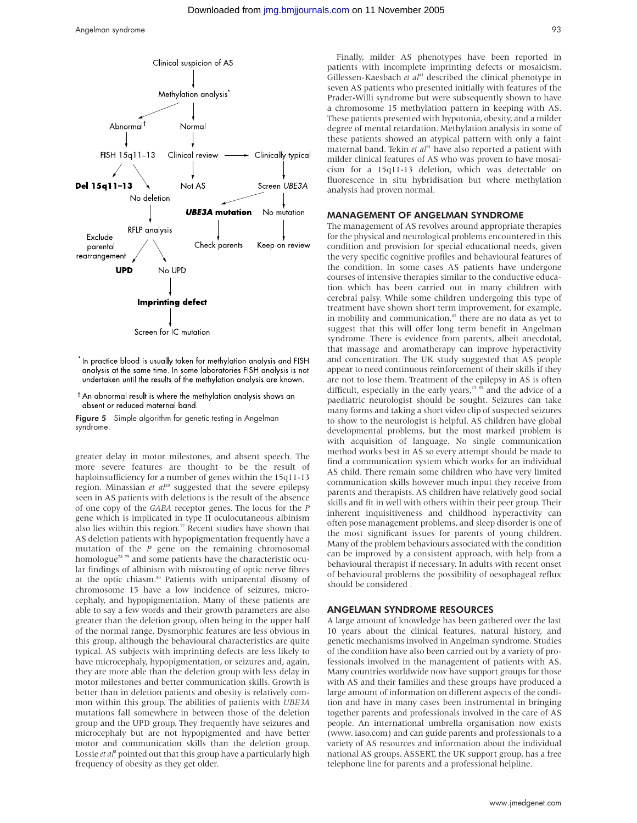

- $^\star$ In practice blood is usually taken for methylation analysis and FISH analysis at the same time. In some laboratories FISH analysis is not undertaken until the results of the methylation analysis are known.
- <sup>†</sup> An abnormal result is where the methylation analysis shows an absent or reduced maternal band.

Figure 5 Simple algorithm for genetic testing in Angelman syndrome.

greater delay in motor milestones, and absent speech. The more severe features are thought to be the result of haploinsufficiency for a number of genes within the 15q11-13 region. Minassian *et al*<sup>20</sup> suggested that the severe epilepsy seen in AS patients with deletions is the result of the absence of one copy of the *GABA* receptor genes. The locus for the *P* gene which is implicated in type II oculocutaneous albinism also lies within this region.<sup>77</sup> Recent studies have shown that AS deletion patients with hypopigmentation frequently have a mutation of the *P* gene on the remaining chromosomal homologue<sup>78 79</sup> and some patients have the characteristic ocular findings of albinism with misrouting of optic nerve fibres at the optic chiasm.<sup>80</sup> Patients with uniparental disomy of chromosome 15 have a low incidence of seizures, microcephaly, and hypopigmentation. Many of these patients are able to say a few words and their growth parameters are also greater than the deletion group, often being in the upper half of the normal range. Dysmorphic features are less obvious in this group, although the behavioural characteristics are quite typical. AS subjects with imprinting defects are less likely to have microcephaly, hypopigmentation, or seizures and, again, they are more able than the deletion group with less delay in motor milestones and better communication skills. Growth is better than in deletion patients and obesity is relatively common within this group. The abilities of patients with *UBE3A* mutations fall somewhere in between those of the deletion group and the UPD group. They frequently have seizures and microcephaly but are not hypopigmented and have better motor and communication skills than the deletion group. Lossie *et al*<sup>8</sup> pointed out that this group have a particularly high frequency of obesity as they get older.

Finally, milder AS phenotypes have been reported in patients with incomplete imprinting defects or mosaicism. Gillessen-Kaesbach *et al*<sup>41</sup> described the clinical phenotype in seven AS patients who presented initially with features of the Prader-Willi syndrome but were subsequently shown to have a chromosome 15 methylation pattern in keeping with AS. These patients presented with hypotonia, obesity, and a milder degree of mental retardation. Methylation analysis in some of these patients showed an atypical pattern with only a faint maternal band. Tekin et al<sup>81</sup> have also reported a patient with milder clinical features of AS who was proven to have mosaicism for a 15q11-13 deletion, which was detectable on fluorescence in situ hybridisation but where methylation analysis had proven normal.

#### MANAGEMENT OF ANGELMAN SYNDROME

The management of AS revolves around appropriate therapies for the physical and neurological problems encountered in this condition and provision for special educational needs, given the very specific cognitive profiles and behavioural features of the condition. In some cases AS patients have undergone courses of intensive therapies similar to the conductive education which has been carried out in many children with cerebral palsy. While some children undergoing this type of treatment have shown short term improvement, for example, in mobility and communication,<sup>82</sup> there are no data as yet to suggest that this will offer long term benefit in Angelman syndrome. There is evidence from parents, albeit anecdotal, that massage and aromatherapy can improve hyperactivity and concentration. The UK study suggested that AS people appear to need continuous reinforcement of their skills if they are not to lose them. Treatment of the epilepsy in AS is often difficult, especially in the early years,<sup>15 83</sup> and the advice of a paediatric neurologist should be sought. Seizures can take many forms and taking a short video clip of suspected seizures to show to the neurologist is helpful. AS children have global developmental problems, but the most marked problem is with acquisition of language. No single communication method works best in AS so every attempt should be made to find a communication system which works for an individual AS child. There remain some children who have very limited communication skills however much input they receive from parents and therapists. AS children have relatively good social skills and fit in well with others within their peer group. Their inherent inquisitiveness and childhood hyperactivity can often pose management problems, and sleep disorder is one of the most significant issues for parents of young children. Many of the problem behaviours associated with the condition can be improved by a consistent approach, with help from a behavioural therapist if necessary. In adults with recent onset of behavioural problems the possibility of oesophageal reflux should be considered .

#### ANGELMAN SYNDROME RESOURCES

A large amount of knowledge has been gathered over the last 10 years about the clinical features, natural history, and genetic mechanisms involved in Angelman syndrome. Studies of the condition have also been carried out by a variety of professionals involved in the management of patients with AS. Many countries worldwide now have support groups for those with AS and their families and these groups have produced a large amount of information on different aspects of the condition and have in many cases been instrumental in bringing together parents and professionals involved in the care of AS people. An international umbrella organisation now exists (www. iaso.com) and can guide parents and professionals to a variety of AS resources and information about the individual national AS groups. ASSERT, the UK support group, has a free telephone line for parents and a professional helpline.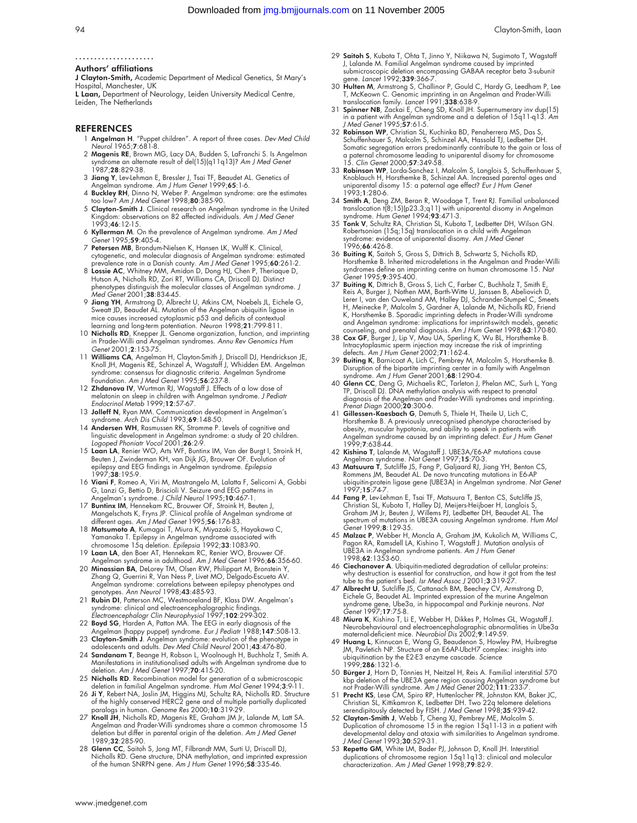#### ..................... Authors' affiliations

J Clayton-Smith, Academic Department of Medical Genetics, St Mary's Hospital, Manchester, UK<br>**L Laan,** Department of Neurology, Leiden University Medical Centre,

Leiden, The Netherlands

#### REFERENCES

- 1 Angelman H. "Puppet children". A report of three cases. Dev Med Child Neurol 1965;7:681-8.
- 2 Magenis RE, Brown MG, Lacy DA, Budden S, LaFranchi S. Is Angelman syndrome an alternate result of del(15)(q11q13)? Am J Med Genet 1987:**28**:829-38.
- 3 Jiang Y, Lev-Lehman E, Bressler J, Tsai TF, Beaudet AL. Genetics of
- Angelman syndrome. A*m J Hum Genet* 1999;**65**:1-6.<br>4 **Buckley RH**, Dinno N, Weber P. Angelman syndrome: are the estimates<br>too low? A*m J Med Genet* 1998;8**0**:385-90.
- 5 Clayton-Smith J. Clinical research on Angelman syndrome in the United Kingdom: observations on 82 affected individuals. Am J Med Genet 1993;46:12-15.
- 6 Kyllerman M. On the prevalence of Angelman syndrome. Am J Med Genet 1995;59:405-4.
- 7 Petersen MB, Brondum-Nielsen K, Hansen LK, Wulff K. Clinical, cytogenetic, and molecular diagnosis of Angelman syndrome: estimated prevalence rate in a Danish county. Am J Med Genet 1995;60:261-2.
- 8 Lossie AC, Whitney MM, Amidon D, Dong HJ, Chen P, Theriaque D, Hutson A, Nicholls RD, Zori RT, Williams CA, Driscoll DJ. Distinct phenotypes distinguish the molecular classes ot Angelman syndrome. J<br>*Med Genet* 2001;**38**:834-45.
- 9 Jiang YH, Armstrong D, Albrecht U, Atkins CM, Noebels JL, Eichele G, Sweatt JD, Beaudet AL. Mutation of the Angelman ubiquitin ligase in mice causes increased cytoplasmic p53 and deficits of contextual learning and long-term potentiation. Neuron 1998;21:799-811.
- 10 Nicholls RD, Knepper JL. Genome organization, function, and imprinting in Prader-Willi and Angelman syndromes. Annu Rev Genomics Hum Genet 2001;2:153-75.
- 11 Williams CA, Angelman H, Clayton-Smith J, Driscoll DJ, Hendrickson JE, Knoll JH, Magenis RE, Schinzel A, Wagstaff J, Whidden EM. Angelman syndrome: consensus for diagnostic criteria. Angelman Syndrome Foundation. Am J Med Genet 1995;56:237-8.
- 12 Zhdanova IV, Wurtman RJ, Wagstaff J. Effects of a low dose of melatonin on sleep in children with Angelman syndrome. *J Pediatr*<br>Endocrinol Metab 1999;**12**:57-67.
- 13 Jolleff N, Ryan MM. Communication development in Angelman's syndrome. Arch Dis Child 1993;69:148-50.
- 14 Andersen WH, Rasmussen RK, Stromme P. Levels of cognitive and linguistic development in Angelman syndrome: a study of 20 children.
- Logoped Phoniatr Vocol 2001;26:2-9. 15 Laan LA, Renier WO, Arts WF, Buntinx IM, Van der Burgt I, Stroink H, Beuten J, Zwinderman KH, van Dijk JG, Brouwer OF. Evolution of epilepsy and EEG findings in Angelman syndrome. Epilepsia 1997;38:195-9.
- 16 Viani F, Romeo A, Viri M, Mastrangelo M, Lalatta F, Selicorni A, Gobbi
- G, Lanzi G, Bettio D, Briscioli V. Seizure and EEG patterns in<br>Angelman's syndrome. J Child Neurol 1995;10:467-1.<br>17 Buntinx IM, Hennekam RC, Brouwer OF, Stroink H, Beuten J,<br>Mangelschots K, Fryns JP. Clinical profile of A different ages. Am J Med Genet 1995;56:176-83.
- 18 Matsumoto A, Kumagai T, Miura K, Miyazaki S, Hayakawa C, Yamanaka T. Epilepsy in Angelman syndrome associated with<br>chromosome 15q deletion. *Epilepsia* 1992;**33**:1083-90.
- 19 Laan LA, den Boer AT, Hennekam RC, Renier WO, Brouwer OF.
- Angelman syndrome in adulthood. *Am J Med Genet* 1996;**66**:356-60.<br>20 **Minassian BA**, Delorey TM, Olsen RW, Philippart M, Bronstein Y,<br>Zhang Q, Guerrini R, Van Ness P, Livet MO, Delgado-Escueta AV. Angelman syndrome: correlations between epilepsy phenotypes and enotypes. *Ann Neurol* 1998;**43**:485-93.
- 21 Rubin DI, Patterson MC, Westmoreland BF, Klass DW. Angelman's
- syndrome: clinical and electroencephalographic findings.<br>Electroencephalogr Clin Neurophysiol 1997;102:299-302.<br>22 **Boyd SG**, Harden A, Patton MA. The EEG in early diagnosis of the<br>Angelman (happy puppet) syndrome. Eur J P
- adolescents and adults. *Dev Med Child Neurol* 2001;**43**:476-80.
- 24 Sandanam T, Beange H, Robson L, Woolnough H, Buchholz T, Smith A. Manifestations in institutionalised adults with Angelman syndrome due to deletion. Am J Med Genet 1997;70:415-20.
- 
- 25 **Nicholls RD**. Recombination model for generation of a submicroscopic<br>deletion in familial Angelman syndrome. Hum Mol Genet 1994;3:9-11.<br>26 **Ji** Y, Rebert NA, Joslin JM, Higgins MJ, Schultz RA, Nicholls RD. Structure<br>of
- 27 Knoll JH, Nicholls RD, Magenis RE, Graham JM Jr, Lalande M, Latt SA. Angelman and Prader-Willi syndromes share a common chromosome 15 deletion but differ in parental origin of the deletion. Am J Med Genet 1989:32:285-90
- 28 Glenn CC, Saitoh S, Jong MT, Filbrandt MM, Surti U, Driscoll DJ, Nicholls RD. Gene structure, DNA methylation, and imprinted expression of the human SNRPN gene. Am J Hum Genet 1996;58:335-46.
- 29 Saitoh S, Kubota T, Ohta T, Jinno Y, Niikawa N, Sugimoto T, Wagstaff J, Lalande M. Familial Angelman syndrome caused by imprinted submicroscopic deletion encompassing GABAA receptor beta 3-subunit
- gene. *Lancet* 1992;**339**:366-7.<br>30 **Hulten M**, Armstrong S, Challinor P, Gould C, Hardy G, Leedham P, Lee<br>T, McKeown C. Genomic imprinting in an Angelman and Prader-Willi<br>translocation family. *Lancet* 1991;**338**:638-9.
- 31 Spinner NB, Zackai E, Cheng SD, Knoll JH. Supernumerary inv dup(15) in a patient with Angelman syndrome and a deletion of 15q11-q13. Am J Med Genet 1995;57:61-5.
- 32 Robinson WP, Christian SL, Kuchinka BD, Penaherrera MS, Das S, Schuffenhauer S, Malcolm S, Schinzel AA, Hassold TJ, Ledbetter DH. Somatic segregation errors predominantly contribute to the gain or loss of a paternal chromosome leading to uniparental disomy for chromosome<br>15. Clin Genet 2000;**57**:349-58.
- 33 Robinson WP, Lorda-Sanchez I, Malcolm S, Langlois S, Schuffenhauer S, Knoblauch H, Horsthemke B, Schinzel AA. Increased parental ages and uniparental disomy 15: a paternal age effect? Eur J Hum Genet 1993;1:280-6.
- 34 Smith A, Deng ZM, Beran R, Woodage T, Trent RJ. Familial unbalanced translocation t(8;15)(p23.3;q11) with uniparental disomy in Angelman syndrome. Hum Genet 1994;93:471-3.
- 35 Tonk V, Schultz RA, Christian SL, Kubota T, Ledbetter DH, Wilson GN. Robertsonian (15q;15q) translocation in a child with Angelman syndrome: evidence of uniparental disomy. Am J Med Genet 1996;66:426-8.
- 36 Buiting K, Saitoh S, Gross S, Dittrich B, Schwartz S, Nicholls RD, Horsthemke B. Inherited microdeletions in the Angelman and Prader-Willi syndromes define an imprinting centre on human chromosome 15. Nat Genet 1995;9:395-400.
- 37 **Buiting K**, Dittrich B, Gross S, Lich C, Farber C, Buchholz T, Smith E, Reis A, Burger J, Nothen MM, Barth-Witte U, Janssen B, Abeliovich D, Lerer I, van den Ouweland AM, Halley DJ, Schrander-Stumpel C, Smeets<br>Lerer I, K, Horsthemke B. Sporadic imprinting defects in Prader-Willi syndrome
- and Angelman syndrome: implications for imprint-switch models, genetic<br>counseling, and prenatal diagnosis. Am J Hum Genet 1998;63:170-80.<br>38 Cox GF, Burger J, Lip V, Mau UA, Sperling K, Wu BL, Horsthemke B.<br>Intracytoplasmi
- 39 Buiting K, Barnicoat A, Lich C, Pembrey M, Malcolm S, Horsthemke B. Disruption of the bipartite imprinting center in a family with Angelman syndrome. Am J Hum Genet 2001;68:1290-4.
- 40 Glenn CC, Deng G, Michaelis RC, Tarleton J, Phelan MC, Surh L, Yang TP, Driscoll DJ. DNA methylation analysis with respect to prenatal diagnosis of the Angelman and Prader-Willi syndromes and imprinting. Prenat Diagn 2000;20:300-6.
- 41 Gillessen-Kaesbach G, Demuth S, Thiele H, Theile U, Lich C, Horsthemke B. A previously unrecognised phenotype characterised by obesity, muscular hypotonia, and ability to speak in patients with<br>Angelman syndrome caused by an imprinting defect. *Eur J Hum Genet* 1999;7:638-44.
- 42 Kishino T, Lalande M, Wagstaff J. UBE3A/E6-AP mutations cause<br>Angelman syndrome. Nat Genet 1997;15:70-3.<br>43 Matswura T, Sutcliffe JS, Fang P, Galjaard RJ, Jiang YH, Benton CS,<br>Rommens JM, Beaudet AL. De novo truncating
- ubiquitin-protein ligase gene (UBE3A) in Angelman syndrome. Nat Genet 1997;15:74-7.
- 44 Fang P, Lev-Lehman E, Tsai TF, Matsuura T, Benton CS, Sutcliffe JS, Christian SL, Kubota T, Halley DJ, Meijers-Heijboer H, Langlois S, Graham JM Jr, Beuten J, Willems PJ, Ledbetter DH, Beaudet AL. The spectrum of mutations in UBE3A causing Angelman syndrome. Hum Mol
- Genet 1999;**8**:129-35.<br>45 **Malzac P**, Webber H, Moncla A, Graham JM, Kukolich M, Williams C,<br>Pagon RA, Ramsdell LA, Kishino T, Wagstaff J. Mutation analysis of UBE3A in Angelman syndrome patients. Am J Hum Genet 1998;62:1353-60.
- 46 Ciechanover A. Ubiquitin-mediated degradation of cellular proteins: why destruction is essential for construction, and how it got from the test tube to the patient's bed. Isr Med Assoc J 2001;3:319-27
- 47 **Albrecht U**, Sutcliffe JS, Cattanach BM, Beechey CV, Armstrong D,<br>Eichele G, Beaudet AL. Imprinted expression of the murine Angelman<br>syndrome gene, Ube3a, in hippocampal and Purkinje neurons. N*at*<br>Genet 1997;1**7**:75-8
- 48 Miura K, Kishino T, Li E, Webber H, Dikkes P, Holmes GL, Wagstaff J. Neurobehavioural and electroencephalographic abnormalities in Ube3a maternal-deficient mice. Neurobiol Dis 2002;9:149-59.
- 49 Huang L, Kinnucan E, Wang G, Beaudenon S, Howley PM, Huibregtse JM, Pavletich NP. Structure of an E6AP-UbcH7 complex: insights into ubiquitination by the E2-E3 enzyme cascade. *Science*<br>1999;**286**:1321-6.
- 50 Bürger J, Horn D, Tönnies H, Neitzel H, Reis A. Familial interstitial 570
- kbp deletion of the UBE3A gene region causing Angelman syndrome but<br>no Prader-Willi syndrome. Am J Med Genet 2002;111:233-7.<br>51 **Precht KS**, Lese CM, Spiro RP, Huttenlocher PR, Johnston KM, Baker JC,<br>Christian SL, Kittikam
- developmental delay and ataxia with similarities to Angelman syndrome.<br>J Med Genet 1993;**30**:529-31.<br>53 **Repetto GM**, White LM, Bader PJ, Johnson D, Knoll JH. Interstitial
- duplications of chromosome region 15q11q13: clinical and molecular characterization. Am J Med Genet 1998;79:82-9.